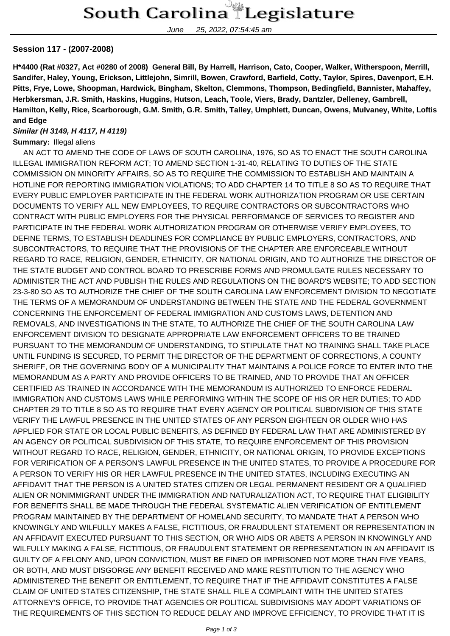June 25, 2022, 07:54:45 am

## **Session 117 - (2007-2008)**

**H\*4400 (Rat #0327, Act #0280 of 2008) General Bill, By Harrell, Harrison, Cato, Cooper, Walker, Witherspoon, Merrill, Sandifer, Haley, Young, Erickson, Littlejohn, Simrill, Bowen, Crawford, Barfield, Cotty, Taylor, Spires, Davenport, E.H. Pitts, Frye, Lowe, Shoopman, Hardwick, Bingham, Skelton, Clemmons, Thompson, Bedingfield, Bannister, Mahaffey, Herbkersman, J.R. Smith, Haskins, Huggins, Hutson, Leach, Toole, Viers, Brady, Dantzler, Delleney, Gambrell, Hamilton, Kelly, Rice, Scarborough, G.M. Smith, G.R. Smith, Talley, Umphlett, Duncan, Owens, Mulvaney, White, Loftis and Edge**

## **Similar (H 3149, H 4117, H 4119)**

**Summary: Illegal aliens** 

 AN ACT TO AMEND THE CODE OF LAWS OF SOUTH CAROLINA, 1976, SO AS TO ENACT THE SOUTH CAROLINA ILLEGAL IMMIGRATION REFORM ACT; TO AMEND SECTION 1-31-40, RELATING TO DUTIES OF THE STATE COMMISSION ON MINORITY AFFAIRS, SO AS TO REQUIRE THE COMMISSION TO ESTABLISH AND MAINTAIN A HOTLINE FOR REPORTING IMMIGRATION VIOLATIONS; TO ADD CHAPTER 14 TO TITLE 8 SO AS TO REQUIRE THAT EVERY PUBLIC EMPLOYER PARTICIPATE IN THE FEDERAL WORK AUTHORIZATION PROGRAM OR USE CERTAIN DOCUMENTS TO VERIFY ALL NEW EMPLOYEES, TO REQUIRE CONTRACTORS OR SUBCONTRACTORS WHO CONTRACT WITH PUBLIC EMPLOYERS FOR THE PHYSICAL PERFORMANCE OF SERVICES TO REGISTER AND PARTICIPATE IN THE FEDERAL WORK AUTHORIZATION PROGRAM OR OTHERWISE VERIFY EMPLOYEES, TO DEFINE TERMS, TO ESTABLISH DEADLINES FOR COMPLIANCE BY PUBLIC EMPLOYERS, CONTRACTORS, AND SUBCONTRACTORS, TO REQUIRE THAT THE PROVISIONS OF THE CHAPTER ARE ENFORCEABLE WITHOUT REGARD TO RACE, RELIGION, GENDER, ETHNICITY, OR NATIONAL ORIGIN, AND TO AUTHORIZE THE DIRECTOR OF THE STATE BUDGET AND CONTROL BOARD TO PRESCRIBE FORMS AND PROMULGATE RULES NECESSARY TO ADMINISTER THE ACT AND PUBLISH THE RULES AND REGULATIONS ON THE BOARD'S WEBSITE; TO ADD SECTION 23-3-80 SO AS TO AUTHORIZE THE CHIEF OF THE SOUTH CAROLINA LAW ENFORCEMENT DIVISION TO NEGOTIATE THE TERMS OF A MEMORANDUM OF UNDERSTANDING BETWEEN THE STATE AND THE FEDERAL GOVERNMENT CONCERNING THE ENFORCEMENT OF FEDERAL IMMIGRATION AND CUSTOMS LAWS, DETENTION AND REMOVALS, AND INVESTIGATIONS IN THE STATE, TO AUTHORIZE THE CHIEF OF THE SOUTH CAROLINA LAW ENFORCEMENT DIVISION TO DESIGNATE APPROPRIATE LAW ENFORCEMENT OFFICERS TO BE TRAINED PURSUANT TO THE MEMORANDUM OF UNDERSTANDING, TO STIPULATE THAT NO TRAINING SHALL TAKE PLACE UNTIL FUNDING IS SECURED, TO PERMIT THE DIRECTOR OF THE DEPARTMENT OF CORRECTIONS, A COUNTY SHERIFF, OR THE GOVERNING BODY OF A MUNICIPALITY THAT MAINTAINS A POLICE FORCE TO ENTER INTO THE MEMORANDUM AS A PARTY AND PROVIDE OFFICERS TO BE TRAINED, AND TO PROVIDE THAT AN OFFICER CERTIFIED AS TRAINED IN ACCORDANCE WITH THE MEMORANDUM IS AUTHORIZED TO ENFORCE FEDERAL IMMIGRATION AND CUSTOMS LAWS WHILE PERFORMING WITHIN THE SCOPE OF HIS OR HER DUTIES; TO ADD CHAPTER 29 TO TITLE 8 SO AS TO REQUIRE THAT EVERY AGENCY OR POLITICAL SUBDIVISION OF THIS STATE VERIFY THE LAWFUL PRESENCE IN THE UNITED STATES OF ANY PERSON EIGHTEEN OR OLDER WHO HAS APPLIED FOR STATE OR LOCAL PUBLIC BENEFITS, AS DEFINED BY FEDERAL LAW THAT ARE ADMINISTERED BY AN AGENCY OR POLITICAL SUBDIVISION OF THIS STATE, TO REQUIRE ENFORCEMENT OF THIS PROVISION WITHOUT REGARD TO RACE, RELIGION, GENDER, ETHNICITY, OR NATIONAL ORIGIN, TO PROVIDE EXCEPTIONS FOR VERIFICATION OF A PERSON'S LAWFUL PRESENCE IN THE UNITED STATES, TO PROVIDE A PROCEDURE FOR A PERSON TO VERIFY HIS OR HER LAWFUL PRESENCE IN THE UNITED STATES, INCLUDING EXECUTING AN AFFIDAVIT THAT THE PERSON IS A UNITED STATES CITIZEN OR LEGAL PERMANENT RESIDENT OR A QUALIFIED ALIEN OR NONIMMIGRANT UNDER THE IMMIGRATION AND NATURALIZATION ACT, TO REQUIRE THAT ELIGIBILITY FOR BENEFITS SHALL BE MADE THROUGH THE FEDERAL SYSTEMATIC ALIEN VERIFICATION OF ENTITLEMENT PROGRAM MAINTAINED BY THE DEPARTMENT OF HOMELAND SECURITY, TO MANDATE THAT A PERSON WHO KNOWINGLY AND WILFULLY MAKES A FALSE, FICTITIOUS, OR FRAUDULENT STATEMENT OR REPRESENTATION IN AN AFFIDAVIT EXECUTED PURSUANT TO THIS SECTION, OR WHO AIDS OR ABETS A PERSON IN KNOWINGLY AND WILFULLY MAKING A FALSE, FICTITIOUS, OR FRAUDULENT STATEMENT OR REPRESENTATION IN AN AFFIDAVIT IS GUILTY OF A FELONY AND, UPON CONVICTION, MUST BE FINED OR IMPRISONED NOT MORE THAN FIVE YEARS, OR BOTH, AND MUST DISGORGE ANY BENEFIT RECEIVED AND MAKE RESTITUTION TO THE AGENCY WHO ADMINISTERED THE BENEFIT OR ENTITLEMENT, TO REQUIRE THAT IF THE AFFIDAVIT CONSTITUTES A FALSE CLAIM OF UNITED STATES CITIZENSHIP, THE STATE SHALL FILE A COMPLAINT WITH THE UNITED STATES ATTORNEY'S OFFICE, TO PROVIDE THAT AGENCIES OR POLITICAL SUBDIVISIONS MAY ADOPT VARIATIONS OF THE REQUIREMENTS OF THIS SECTION TO REDUCE DELAY AND IMPROVE EFFICIENCY, TO PROVIDE THAT IT IS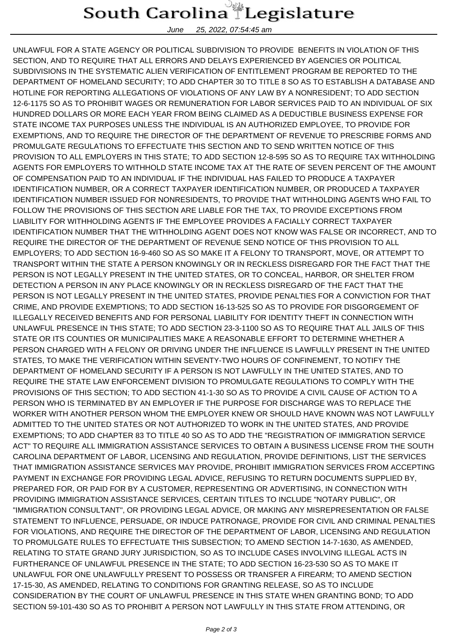## South Carolina Legislature

June 25, 2022, 07:54:45 am

UNLAWFUL FOR A STATE AGENCY OR POLITICAL SUBDIVISION TO PROVIDE BENEFITS IN VIOLATION OF THIS SECTION, AND TO REQUIRE THAT ALL ERRORS AND DELAYS EXPERIENCED BY AGENCIES OR POLITICAL SUBDIVISIONS IN THE SYSTEMATIC ALIEN VERIFICATION OF ENTITLEMENT PROGRAM BE REPORTED TO THE DEPARTMENT OF HOMELAND SECURITY; TO ADD CHAPTER 30 TO TITLE 8 SO AS TO ESTABLISH A DATABASE AND HOTLINE FOR REPORTING ALLEGATIONS OF VIOLATIONS OF ANY LAW BY A NONRESIDENT; TO ADD SECTION 12-6-1175 SO AS TO PROHIBIT WAGES OR REMUNERATION FOR LABOR SERVICES PAID TO AN INDIVIDUAL OF SIX HUNDRED DOLLARS OR MORE EACH YEAR FROM BEING CLAIMED AS A DEDUCTIBLE BUSINESS EXPENSE FOR STATE INCOME TAX PURPOSES UNLESS THE INDIVIDUAL IS AN AUTHORIZED EMPLOYEE, TO PROVIDE FOR EXEMPTIONS, AND TO REQUIRE THE DIRECTOR OF THE DEPARTMENT OF REVENUE TO PRESCRIBE FORMS AND PROMULGATE REGULATIONS TO EFFECTUATE THIS SECTION AND TO SEND WRITTEN NOTICE OF THIS PROVISION TO ALL EMPLOYERS IN THIS STATE; TO ADD SECTION 12-8-595 SO AS TO REQUIRE TAX WITHHOLDING AGENTS FOR EMPLOYERS TO WITHHOLD STATE INCOME TAX AT THE RATE OF SEVEN PERCENT OF THE AMOUNT OF COMPENSATION PAID TO AN INDIVIDUAL IF THE INDIVIDUAL HAS FAILED TO PRODUCE A TAXPAYER IDENTIFICATION NUMBER, OR A CORRECT TAXPAYER IDENTIFICATION NUMBER, OR PRODUCED A TAXPAYER IDENTIFICATION NUMBER ISSUED FOR NONRESIDENTS, TO PROVIDE THAT WITHHOLDING AGENTS WHO FAIL TO FOLLOW THE PROVISIONS OF THIS SECTION ARE LIABLE FOR THE TAX, TO PROVIDE EXCEPTIONS FROM LIABILITY FOR WITHHOLDING AGENTS IF THE EMPLOYEE PROVIDES A FACIALLY CORRECT TAXPAYER IDENTIFICATION NUMBER THAT THE WITHHOLDING AGENT DOES NOT KNOW WAS FALSE OR INCORRECT, AND TO REQUIRE THE DIRECTOR OF THE DEPARTMENT OF REVENUE SEND NOTICE OF THIS PROVISION TO ALL EMPLOYERS; TO ADD SECTION 16-9-460 SO AS SO MAKE IT A FELONY TO TRANSPORT, MOVE, OR ATTEMPT TO TRANSPORT WITHIN THE STATE A PERSON KNOWINGLY OR IN RECKLESS DISREGARD FOR THE FACT THAT THE PERSON IS NOT LEGALLY PRESENT IN THE UNITED STATES, OR TO CONCEAL, HARBOR, OR SHELTER FROM DETECTION A PERSON IN ANY PLACE KNOWINGLY OR IN RECKLESS DISREGARD OF THE FACT THAT THE PERSON IS NOT LEGALLY PRESENT IN THE UNITED STATES, PROVIDE PENALTIES FOR A CONVICTION FOR THAT CRIME, AND PROVIDE EXEMPTIONS; TO ADD SECTION 16-13-525 SO AS TO PROVIDE FOR DISGORGEMENT OF ILLEGALLY RECEIVED BENEFITS AND FOR PERSONAL LIABILITY FOR IDENTITY THEFT IN CONNECTION WITH UNLAWFUL PRESENCE IN THIS STATE; TO ADD SECTION 23-3-1100 SO AS TO REQUIRE THAT ALL JAILS OF THIS STATE OR ITS COUNTIES OR MUNICIPALITIES MAKE A REASONABLE EFFORT TO DETERMINE WHETHER A PERSON CHARGED WITH A FELONY OR DRIVING UNDER THE INFLUENCE IS LAWFULLY PRESENT IN THE UNITED STATES, TO MAKE THE VERIFICATION WITHIN SEVENTY-TWO HOURS OF CONFINEMENT, TO NOTIFY THE DEPARTMENT OF HOMELAND SECURITY IF A PERSON IS NOT LAWFULLY IN THE UNITED STATES, AND TO REQUIRE THE STATE LAW ENFORCEMENT DIVISION TO PROMULGATE REGULATIONS TO COMPLY WITH THE PROVISIONS OF THIS SECTION; TO ADD SECTION 41-1-30 SO AS TO PROVIDE A CIVIL CAUSE OF ACTION TO A PERSON WHO IS TERMINATED BY AN EMPLOYER IF THE PURPOSE FOR DISCHARGE WAS TO REPLACE THE WORKER WITH ANOTHER PERSON WHOM THE EMPLOYER KNEW OR SHOULD HAVE KNOWN WAS NOT LAWFULLY ADMITTED TO THE UNITED STATES OR NOT AUTHORIZED TO WORK IN THE UNITED STATES, AND PROVIDE EXEMPTIONS; TO ADD CHAPTER 83 TO TITLE 40 SO AS TO ADD THE "REGISTRATION OF IMMIGRATION SERVICE ACT" TO REQUIRE ALL IMMIGRATION ASSISTANCE SERVICES TO OBTAIN A BUSINESS LICENSE FROM THE SOUTH CAROLINA DEPARTMENT OF LABOR, LICENSING AND REGULATION, PROVIDE DEFINITIONS, LIST THE SERVICES THAT IMMIGRATION ASSISTANCE SERVICES MAY PROVIDE, PROHIBIT IMMIGRATION SERVICES FROM ACCEPTING PAYMENT IN EXCHANGE FOR PROVIDING LEGAL ADVICE, REFUSING TO RETURN DOCUMENTS SUPPLIED BY, PREPARED FOR, OR PAID FOR BY A CUSTOMER, REPRESENTING OR ADVERTISING, IN CONNECTION WITH PROVIDING IMMIGRATION ASSISTANCE SERVICES, CERTAIN TITLES TO INCLUDE "NOTARY PUBLIC", OR "IMMIGRATION CONSULTANT", OR PROVIDING LEGAL ADVICE, OR MAKING ANY MISREPRESENTATION OR FALSE STATEMENT TO INFLUENCE, PERSUADE, OR INDUCE PATRONAGE, PROVIDE FOR CIVIL AND CRIMINAL PENALTIES FOR VIOLATIONS, AND REQUIRE THE DIRECTOR OF THE DEPARTMENT OF LABOR, LICENSING AND REGULATION TO PROMULGATE RULES TO EFFECTUATE THIS SUBSECTION; TO AMEND SECTION 14-7-1630, AS AMENDED, RELATING TO STATE GRAND JURY JURISDICTION, SO AS TO INCLUDE CASES INVOLVING ILLEGAL ACTS IN FURTHERANCE OF UNLAWFUL PRESENCE IN THE STATE; TO ADD SECTION 16-23-530 SO AS TO MAKE IT UNLAWFUL FOR ONE UNLAWFULLY PRESENT TO POSSESS OR TRANSFER A FIREARM; TO AMEND SECTION 17-15-30, AS AMENDED, RELATING TO CONDITIONS FOR GRANTING RELEASE, SO AS TO INCLUDE CONSIDERATION BY THE COURT OF UNLAWFUL PRESENCE IN THIS STATE WHEN GRANTING BOND; TO ADD SECTION 59-101-430 SO AS TO PROHIBIT A PERSON NOT LAWFULLY IN THIS STATE FROM ATTENDING, OR